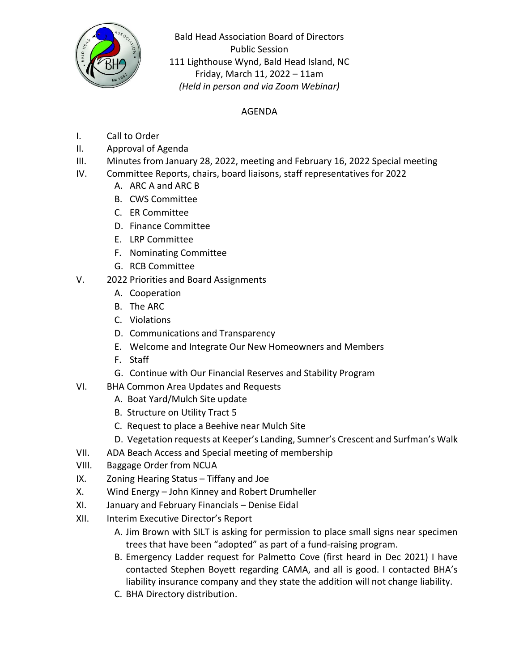

Bald Head Association Board of Directors Public Session 111 Lighthouse Wynd, Bald Head Island, NC Friday, March 11, 2022 – 11am *(Held in person and via Zoom Webinar)*

## AGENDA

- I. Call to Order
- II. Approval of Agenda
- III. Minutes from January 28, 2022, meeting and February 16, 2022 Special meeting
- IV. Committee Reports, chairs, board liaisons, staff representatives for 2022
	- A. ARC A and ARC B
	- B. CWS Committee
	- C. ER Committee
	- D. Finance Committee
	- E. LRP Committee
	- F. Nominating Committee
	- G. RCB Committee
- V. 2022 Priorities and Board Assignments
	- A. Cooperation
	- B. The ARC
	- C. Violations
	- D. Communications and Transparency
	- E. Welcome and Integrate Our New Homeowners and Members
	- F. Staff
	- G. Continue with Our Financial Reserves and Stability Program
- VI. BHA Common Area Updates and Requests
	- A. Boat Yard/Mulch Site update
	- B. Structure on Utility Tract 5
	- C. Request to place a Beehive near Mulch Site
	- D. Vegetation requests at Keeper's Landing, Sumner's Crescent and Surfman's Walk
- VII. ADA Beach Access and Special meeting of membership
- VIII. Baggage Order from NCUA
- IX. Zoning Hearing Status Tiffany and Joe
- X. Wind Energy John Kinney and Robert Drumheller
- XI. January and February Financials Denise Eidal
- XII. Interim Executive Director's Report
	- A. Jim Brown with SILT is asking for permission to place small signs near specimen trees that have been "adopted" as part of a fund-raising program.
	- B. Emergency Ladder request for Palmetto Cove (first heard in Dec 2021) I have contacted Stephen Boyett regarding CAMA, and all is good. I contacted BHA's liability insurance company and they state the addition will not change liability.
	- C. BHA Directory distribution.